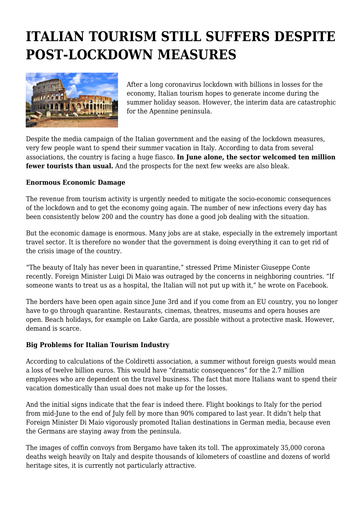# **ITALIAN TOURISM STILL SUFFERS DESPITE POST-LOCKDOWN MEASURES**



After a long coronavirus lockdown with billions in losses for the economy, Italian tourism hopes to generate income during the summer holiday season. However, the interim data are catastrophic for the Apennine peninsula.

Despite the media campaign of the Italian government and the easing of the lockdown measures, very few people want to spend their summer vacation in Italy. According to data from several associations, the country is facing a huge fiasco. **In June alone, the sector welcomed ten million fewer tourists than usual.** And the prospects for the next few weeks are also bleak.

#### **Enormous Economic Damage**

The revenue from tourism activity is urgently needed to mitigate the socio-economic consequences of the lockdown and to get the economy going again. The number of new infections every day has been consistently below 200 and the country has done a good job dealing with the situation.

But the economic damage is enormous. Many jobs are at stake, especially in the extremely important travel sector. It is therefore no wonder that the government is doing everything it can to get rid of the crisis image of the country.

"The beauty of Italy has never been in quarantine," stressed Prime Minister Giuseppe Conte recently. Foreign Minister Luigi Di Maio was outraged by the concerns in neighboring countries. "If someone wants to treat us as a hospital, the Italian will not put up with it," he wrote on Facebook.

The borders have been open again since June 3rd and if you come from an EU country, you no longer have to go through quarantine. Restaurants, cinemas, theatres, museums and opera houses are open. Beach holidays, for example on Lake Garda, are possible without a protective mask. However, demand is scarce.

#### **Big Problems for Italian Tourism Industry**

According to calculations of the Coldiretti association, a summer without foreign guests would mean a loss of twelve billion euros. This would have "dramatic consequences" for the 2.7 million employees who are dependent on the travel business. The fact that more Italians want to spend their vacation domestically than usual does not make up for the losses.

And the initial signs indicate that the fear is indeed there. Flight bookings to Italy for the period from mid-June to the end of July fell by more than 90% compared to last year. It didn't help that Foreign Minister Di Maio vigorously promoted Italian destinations in German media, because even the Germans are staying away from the peninsula.

The images of coffin convoys from Bergamo have taken its toll. The approximately 35,000 corona deaths weigh heavily on Italy and despite thousands of kilometers of coastline and dozens of world heritage sites, it is currently not particularly attractive.